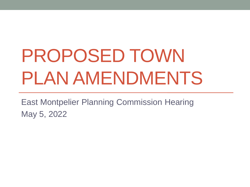# PROPOSED TOWN PLAN AMENDMENTS

East Montpelier Planning Commission Hearing May 5, 2022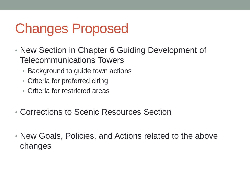# Changes Proposed

- New Section in Chapter 6 Guiding Development of Telecommunications Towers
	- Background to guide town actions
	- Criteria for preferred citing
	- Criteria for restricted areas
- Corrections to Scenic Resources Section
- New Goals, Policies, and Actions related to the above changes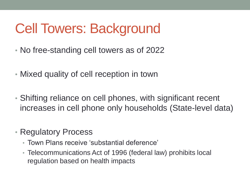# Cell Towers: Background

- No free-standing cell towers as of 2022
- Mixed quality of cell reception in town
- Shifting reliance on cell phones, with significant recent increases in cell phone only households (State-level data)
- Regulatory Process
	- Town Plans receive 'substantial deference'
	- Telecommunications Act of 1996 (federal law) prohibits local regulation based on health impacts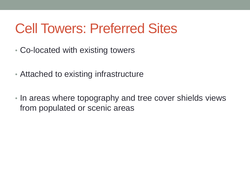## Cell Towers: Preferred Sites

- Co-located with existing towers
- Attached to existing infrastructure
- In areas where topography and tree cover shields views from populated or scenic areas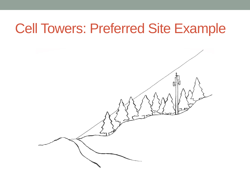#### Cell Towers: Preferred Site Example

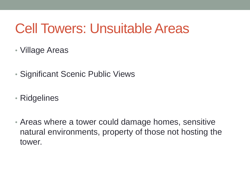## Cell Towers: Unsuitable Areas

- Village Areas
- Significant Scenic Public Views
- Ridgelines
- Areas where a tower could damage homes, sensitive natural environments, property of those not hosting the tower.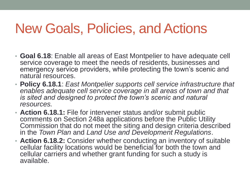## New Goals, Policies, and Actions

- **Goal 6.18**: Enable all areas of East Montpelier to have adequate cell service coverage to meet the needs of residents, businesses and emergency service providers, while protecting the town's scenic and natural resources.
- **Policy 6.18.1**: *East Montpelier supports cell service infrastructure that enables adequate cell service coverage in all areas of town and that is sited and designed to protect the town's scenic and natural resources.*
- **Action 6.18.1:** File for intervener status and/or submit public comments on Section 248a applications before the Public Utility Commission that do not meet the siting and design criteria described in the *Town Plan* and *Land Use and Development Regulations*.
- **Action 6.18.2:** Consider whether conducting an inventory of suitable cellular facility locations would be beneficial for both the town and cellular carriers and whether grant funding for such a study is available.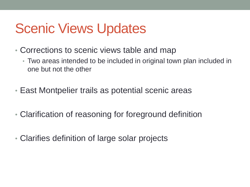## Scenic Views Updates

- Corrections to scenic views table and map
	- Two areas intended to be included in original town plan included in one but not the other
- East Montpelier trails as potential scenic areas
- Clarification of reasoning for foreground definition
- Clarifies definition of large solar projects